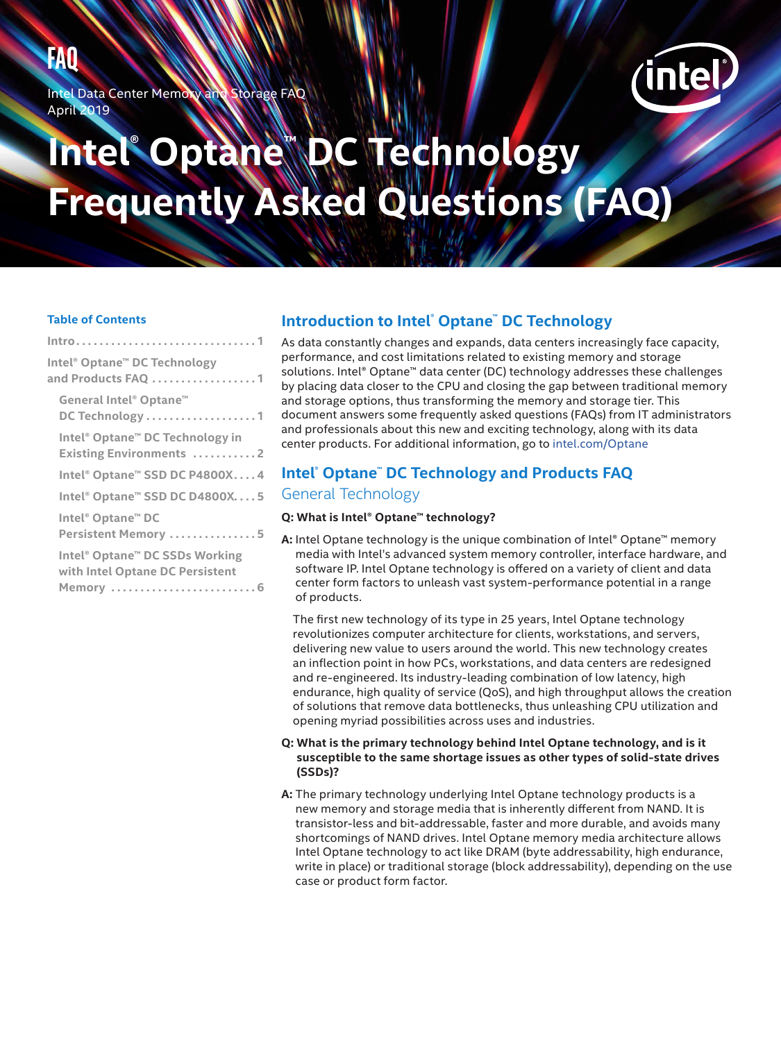# **FAQ**

Intel Data Center Memory and Storage FAQ April 2019



# **Intel® Optane™ C Technology Frequently Asked Questions (FAQ)**

# **Table of Contents**

| Intel® Optane™ DC Technology                                                              |
|-------------------------------------------------------------------------------------------|
| General Intel® Optane™<br>DC Technology 1                                                 |
| Intel <sup>®</sup> Optane <sup>™</sup> DC Technology in<br><b>Existing Environments 2</b> |
| Intel <sup>®</sup> Optane <sup>™</sup> SSD DC P4800X4                                     |
| Intel® Optane™ SSD DC D4800X5                                                             |
| Intel® Optane™ DC<br>Persistent Memory 5                                                  |
| Intel® Optane™ DC SSDs Working<br>with Intel Optane DC Persistent                         |

# **Introduction to Intel® Optane™ DC Technology**

As data constantly changes and expands, data centers increasingly face capacity, performance, and cost limitations related to existing memory and storage solutions. Intel® Optane™ data center (DC) technology addresses these challenges by placing data closer to the CPU and closing the gap between traditional memory and storage options, thus transforming the memory and storage tier. This document answers some frequently asked questions (FAQs) from IT administrators and professionals about this new and exciting technology, along with its data center products. For additional information, go to [intel.com/Optane](http://intel.com/Optane)

# **Intel® Optane™ DC Technology and Products FAQ** General Technology

# **Q: What is Intel® Optane™ technology?**

**A:** Intel Optane technology is the unique combination of Intel® Optane™ memory media with Intel's advanced system memory controller, interface hardware, and software IP. Intel Optane technology is offered on a variety of client and data center form factors to unleash vast system-performance potential in a range of products.

 The first new technology of its type in 25 years, Intel Optane technology revolutionizes computer architecture for clients, workstations, and servers, delivering new value to users around the world. This new technology creates an inflection point in how PCs, workstations, and data centers are redesigned and re-engineered. Its industry-leading combination of low latency, high endurance, high quality of service (QoS), and high throughput allows the creation of solutions that remove data bottlenecks, thus unleashing CPU utilization and opening myriad possibilities across uses and industries.

#### **Q: What is the primary technology behind Intel Optane technology, and is it susceptible to the same shortage issues as other types of solid-state drives (SSDs)?**

**A:** The primary technology underlying Intel Optane technology products is a new memory and storage media that is inherently different from NAND. It is transistor-less and bit-addressable, faster and more durable, and avoids many shortcomings of NAND drives. Intel Optane memory media architecture allows Intel Optane technology to act like DRAM (byte addressability, high endurance, write in place) or traditional storage (block addressability), depending on the use case or product form factor.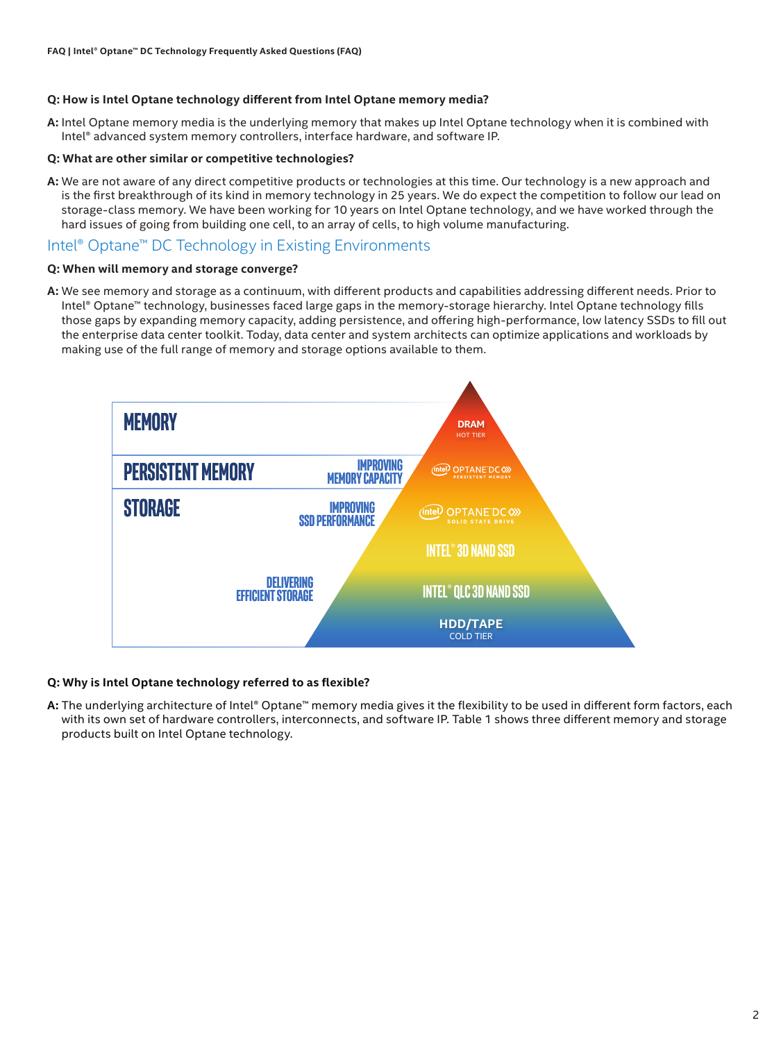#### <span id="page-1-0"></span>**Q: How is Intel Optane technology different from Intel Optane memory media?**

**A:** Intel Optane memory media is the underlying memory that makes up Intel Optane technology when it is combined with Intel® advanced system memory controllers, interface hardware, and software IP.

#### **Q: What are other similar or competitive technologies?**

**A:** We are not aware of any direct competitive products or technologies at this time. Our technology is a new approach and is the first breakthrough of its kind in memory technology in 25 years. We do expect the competition to follow our lead on storage-class memory. We have been working for 10 years on Intel Optane technology, and we have worked through the hard issues of going from building one cell, to an array of cells, to high volume manufacturing.

# Intel® Optane™ DC Technology in Existing Environments

#### **Q: When will memory and storage converge?**

**A:** We see memory and storage as a continuum, with different products and capabilities addressing different needs. Prior to Intel® Optane™ technology, businesses faced large gaps in the memory-storage hierarchy. Intel Optane technology fills those gaps by expanding memory capacity, adding persistence, and offering high-performance, low latency SSDs to fill out the enterprise data center toolkit. Today, data center and system architects can optimize applications and workloads by making use of the full range of memory and storage options available to them.



## **Q: Why is Intel Optane technology referred to as flexible?**

**A:** The underlying architecture of Intel® Optane™ memory media gives it the flexibility to be used in different form factors, each with its own set of hardware controllers, interconnects, and software IP. Table 1 shows three different memory and storage products built on Intel Optane technology.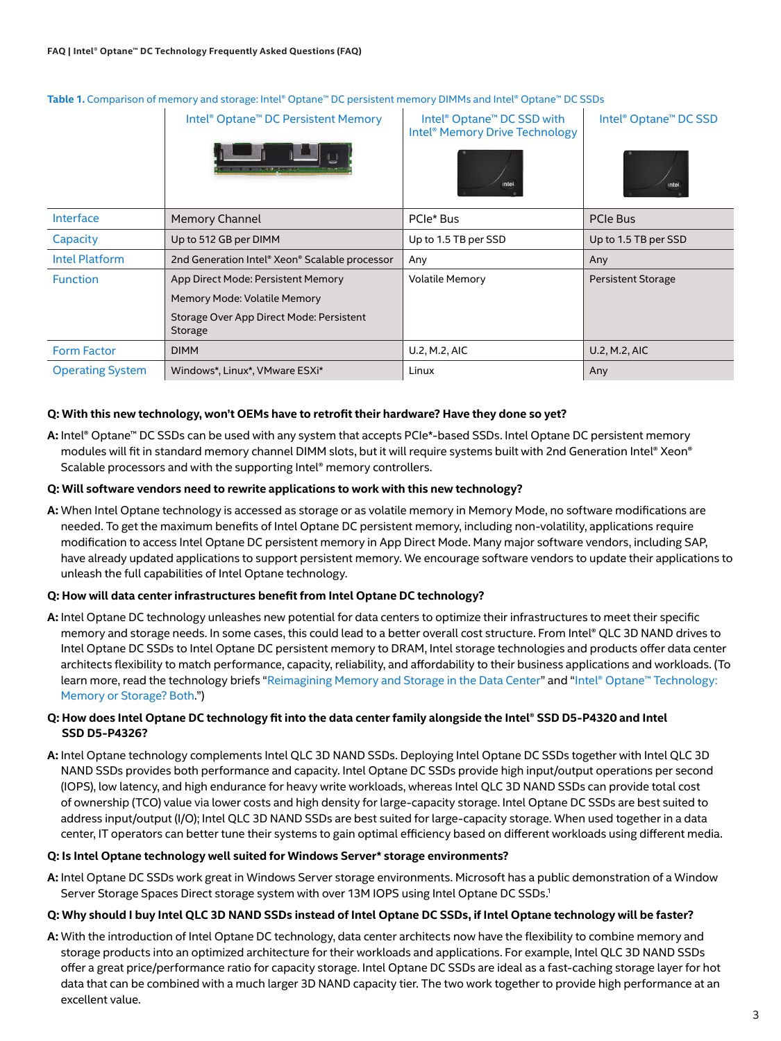|                         | Intel <sup>®</sup> Optane <sup>™</sup> DC Persistent Memory | Intel <sup>®</sup> Optane <sup>™</sup> DC SSD with<br>Intel <sup>®</sup> Memory Drive Technology | Intel <sup>®</sup> Optane <sup>™</sup> DC SSD |
|-------------------------|-------------------------------------------------------------|--------------------------------------------------------------------------------------------------|-----------------------------------------------|
|                         | The County of the County of the County                      | intel.                                                                                           | intel.                                        |
| <b>Interface</b>        | Memory Channel                                              | PCle* Bus                                                                                        | <b>PCIe Bus</b>                               |
| Capacity                | Up to 512 GB per DIMM                                       | Up to 1.5 TB per SSD                                                                             | Up to 1.5 TB per SSD                          |
| <b>Intel Platform</b>   | 2nd Generation Intel® Xeon® Scalable processor              | Any                                                                                              | Any                                           |
| <b>Function</b>         | App Direct Mode: Persistent Memory                          | <b>Volatile Memory</b>                                                                           | Persistent Storage                            |
|                         | Memory Mode: Volatile Memory                                |                                                                                                  |                                               |
|                         | Storage Over App Direct Mode: Persistent<br>Storage         |                                                                                                  |                                               |
| <b>Form Factor</b>      | <b>DIMM</b>                                                 | U.2, M.2, AIC                                                                                    | U.2, M.2, AIC                                 |
| <b>Operating System</b> | Windows*, Linux*, VMware ESXi*                              | Linux                                                                                            | Any                                           |

#### **Table 1.** Comparison of memory and storage: Intel® Optane™ DC persistent memory DIMMs and Intel® Optane™ DC SSDs

#### **Q: With this new technology, won't OEMs have to retrofit their hardware? Have they done so yet?**

**A:** Intel® Optane™ DC SSDs can be used with any system that accepts PCIe\*-based SSDs. Intel Optane DC persistent memory modules will fit in standard memory channel DIMM slots, but it will require systems built with 2nd Generation Intel® Xeon® Scalable processors and with the supporting Intel® memory controllers.

#### **Q: Will software vendors need to rewrite applications to work with this new technology?**

**A:** When Intel Optane technology is accessed as storage or as volatile memory in Memory Mode, no software modifications are needed. To get the maximum benefits of Intel Optane DC persistent memory, including non-volatility, applications require modification to access Intel Optane DC persistent memory in App Direct Mode. Many major software vendors, including SAP, have already updated applications to support persistent memory. We encourage software vendors to update their applications to unleash the full capabilities of Intel Optane technology.

#### **Q: How will data center infrastructures benefit from Intel Optane DC technology?**

**A:** Intel Optane DC technology unleashes new potential for data centers to optimize their infrastructures to meet their specific memory and storage needs. In some cases, this could lead to a better overall cost structure. From Intel® QLC 3D NAND drives to Intel Optane DC SSDs to Intel Optane DC persistent memory to DRAM, Intel storage technologies and products offer data center architects flexibility to match performance, capacity, reliability, and affordability to their business applications and workloads. (To learn more, read the technology briefs ["Reimagining Memory and Storage in the Data Center](https://www.intel.com/content/www/us/en/products/docs/memory-storage/solid-state-drives/data-center-ssds/optane-ssds-transform-memory-storage-hierarchy-brief.html)" and "Intel® Optane™ Technology: [Memory or Storage? Both.](https://www.intel.com/content/www/us/en/products/docs/memory-storage/optane-technology/what-is-optane-technology-brief.html)")

## **Q: How does Intel Optane DC technology fit into the data center family alongside the Intel® SSD D5-P4320 and Intel SSD D5-P4326?**

**A:** Intel Optane technology complements Intel QLC 3D NAND SSDs. Deploying Intel Optane DC SSDs together with Intel QLC 3D NAND SSDs provides both performance and capacity. Intel Optane DC SSDs provide high input/output operations per second (IOPS), low latency, and high endurance for heavy write workloads, whereas Intel QLC 3D NAND SSDs can provide total cost of ownership (TCO) value via lower costs and high density for large-capacity storage. Intel Optane DC SSDs are best suited to address input/output (I/O); Intel QLC 3D NAND SSDs are best suited for large-capacity storage. When used together in a data center, IT operators can better tune their systems to gain optimal efficiency based on different workloads using different media.

#### **Q: Is Intel Optane technology well suited for Windows Server\* storage environments?**

**A:** Intel Optane DC SSDs work great in Windows Server storage environments. Microsoft has a public demonstration of a Window Server Storage Spaces Direct storage system with over 13M IOPS using Intel Optane DC SSDs.1

#### **Q: Why should I buy Intel QLC 3D NAND SSDs instead of Intel Optane DC SSDs, if Intel Optane technology will be faster?**

**A:** With the introduction of Intel Optane DC technology, data center architects now have the flexibility to combine memory and storage products into an optimized architecture for their workloads and applications. For example, Intel QLC 3D NAND SSDs offer a great price/performance ratio for capacity storage. Intel Optane DC SSDs are ideal as a fast-caching storage layer for hot data that can be combined with a much larger 3D NAND capacity tier. The two work together to provide high performance at an excellent value.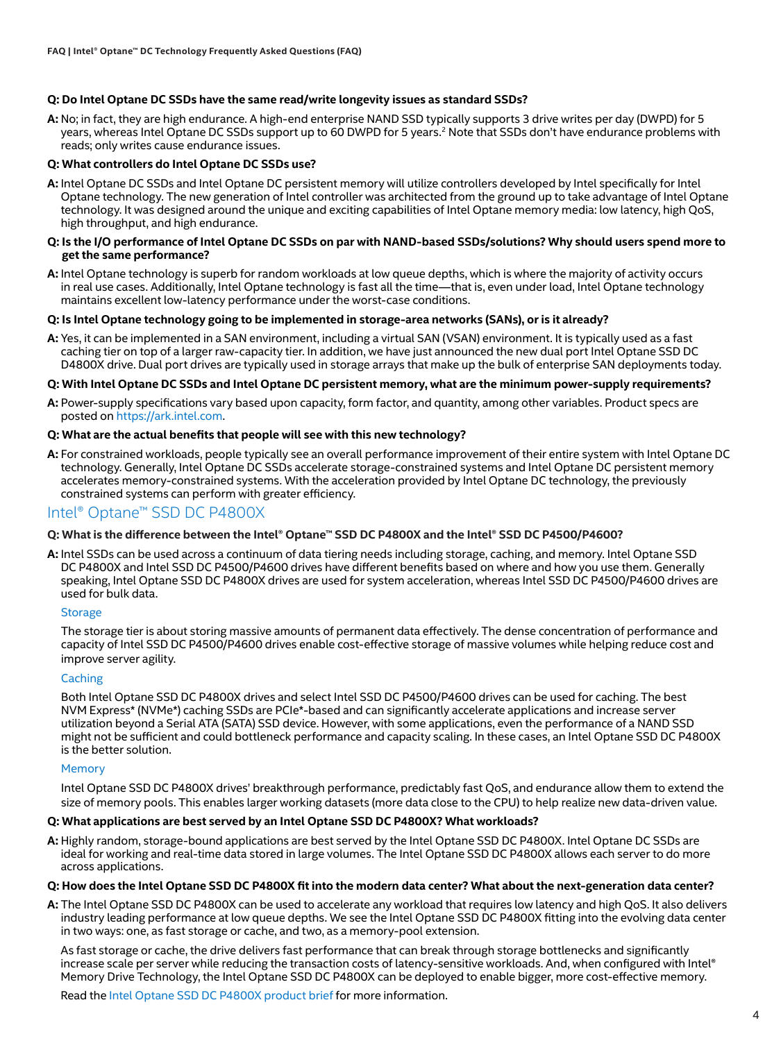#### <span id="page-3-0"></span>**Q: Do Intel Optane DC SSDs have the same read/write longevity issues as standard SSDs?**

**A:** No; in fact, they are high endurance. A high-end enterprise NAND SSD typically supports 3 drive writes per day (DWPD) for 5 years, whereas Intel Optane DC SSDs support up to 60 DWPD for 5 years.<sup>2</sup> Note that SSDs don't have endurance problems with reads; only writes cause endurance issues.

#### **Q: What controllers do Intel Optane DC SSDs use?**

**A:** Intel Optane DC SSDs and Intel Optane DC persistent memory will utilize controllers developed by Intel specifically for Intel Optane technology. The new generation of Intel controller was architected from the ground up to take advantage of Intel Optane technology. It was designed around the unique and exciting capabilities of Intel Optane memory media: low latency, high QoS, high throughput, and high endurance.

#### **Q: Is the I/O performance of Intel Optane DC SSDs on par with NAND-based SSDs/solutions? Why should users spend more to get the same performance?**

**A:** Intel Optane technology is superb for random workloads at low queue depths, which is where the majority of activity occurs in real use cases. Additionally, Intel Optane technology is fast all the time—that is, even under load, Intel Optane technology maintains excellent low-latency performance under the worst-case conditions.

#### **Q: Is Intel Optane technology going to be implemented in storage-area networks (SANs), or is it already?**

**A:** Yes, it can be implemented in a SAN environment, including a virtual SAN (VSAN) environment. It is typically used as a fast caching tier on top of a larger raw-capacity tier. In addition, we have just announced the new dual port Intel Optane SSD DC D4800X drive. Dual port drives are typically used in storage arrays that make up the bulk of enterprise SAN deployments today.

#### **Q: With Intel Optane DC SSDs and Intel Optane DC persistent memory, what are the minimum power-supply requirements?**

**A:** Power-supply specifications vary based upon capacity, form factor, and quantity, among other variables. Product specs are posted on<https://ark.intel.com>.

#### **Q: What are the actual benefits that people will see with this new technology?**

**A:** For constrained workloads, people typically see an overall performance improvement of their entire system with Intel Optane DC technology. Generally, Intel Optane DC SSDs accelerate storage-constrained systems and Intel Optane DC persistent memory accelerates memory-constrained systems. With the acceleration provided by Intel Optane DC technology, the previously constrained systems can perform with greater efficiency.

# Intel® Optane™ SSD DC P4800X

## **Q: What is the difference between the Intel® Optane™ SSD DC P4800X and the Intel® SSD DC P4500/P4600?**

**A:** Intel SSDs can be used across a continuum of data tiering needs including storage, caching, and memory. Intel Optane SSD DC P4800X and Intel SSD DC P4500/P4600 drives have different benefits based on where and how you use them. Generally speaking, Intel Optane SSD DC P4800X drives are used for system acceleration, whereas Intel SSD DC P4500/P4600 drives are used for bulk data.

#### **Storage**

The storage tier is about storing massive amounts of permanent data effectively. The dense concentration of performance and capacity of Intel SSD DC P4500/P4600 drives enable cost-effective storage of massive volumes while helping reduce cost and improve server agility.

## **Caching**

Both Intel Optane SSD DC P4800X drives and select Intel SSD DC P4500/P4600 drives can be used for caching. The best NVM Express\* (NVMe\*) caching SSDs are PCIe\*-based and can significantly accelerate applications and increase server utilization beyond a Serial ATA (SATA) SSD device. However, with some applications, even the performance of a NAND SSD might not be sufficient and could bottleneck performance and capacity scaling. In these cases, an Intel Optane SSD DC P4800X is the better solution.

#### **Memory**

Intel Optane SSD DC P4800X drives' breakthrough performance, predictably fast QoS, and endurance allow them to extend the size of memory pools. This enables larger working datasets (more data close to the CPU) to help realize new data-driven value.

#### **Q: What applications are best served by an Intel Optane SSD DC P4800X? What workloads?**

**A:** Highly random, storage-bound applications are best served by the Intel Optane SSD DC P4800X. Intel Optane DC SSDs are ideal for working and real-time data stored in large volumes. The Intel Optane SSD DC P4800X allows each server to do more across applications.

#### **Q: How does the Intel Optane SSD DC P4800X fit into the modern data center? What about the next-generation data center?**

**A:** The Intel Optane SSD DC P4800X can be used to accelerate any workload that requires low latency and high QoS. It also delivers industry leading performance at low queue depths. We see the Intel Optane SSD DC P4800X fitting into the evolving data center in two ways: one, as fast storage or cache, and two, as a memory-pool extension.

 As fast storage or cache, the drive delivers fast performance that can break through storage bottlenecks and significantly increase scale per server while reducing the transaction costs of latency-sensitive workloads. And, when configured with Intel® Memory Drive Technology, the Intel Optane SSD DC P4800X can be deployed to enable bigger, more cost-effective memory.

Read the [Intel Optane SSD DC P4800X product brief](https://www.intel.com/content/www/us/en/products/docs/memory-storage/solid-state-drives/data-center-ssds/optane-ssd-dc-p4800x-p4801x-brief.html) for more information.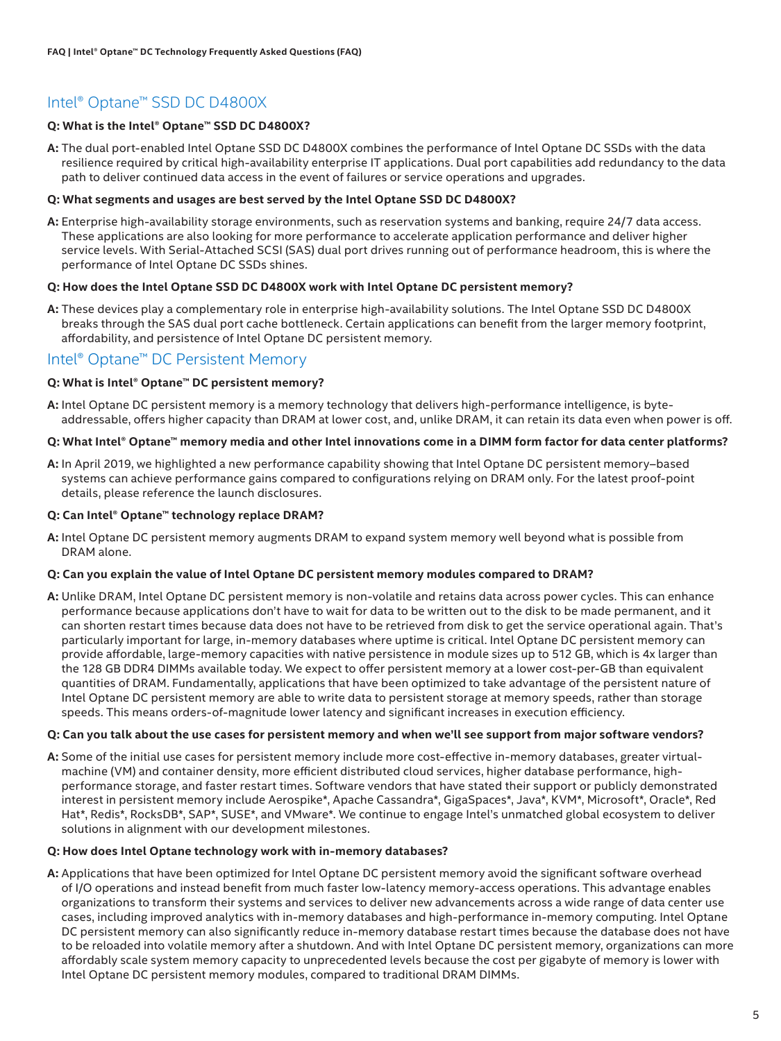# <span id="page-4-0"></span>Intel® Optane™ SSD DC D4800X

## **Q: What is the Intel® Optane™ SSD DC D4800X?**

**A:** The dual port-enabled Intel Optane SSD DC D4800X combines the performance of Intel Optane DC SSDs with the data resilience required by critical high-availability enterprise IT applications. Dual port capabilities add redundancy to the data path to deliver continued data access in the event of failures or service operations and upgrades.

#### **Q: What segments and usages are best served by the Intel Optane SSD DC D4800X?**

**A:** Enterprise high-availability storage environments, such as reservation systems and banking, require 24/7 data access. These applications are also looking for more performance to accelerate application performance and deliver higher service levels. With Serial-Attached SCSI (SAS) dual port drives running out of performance headroom, this is where the performance of Intel Optane DC SSDs shines.

#### **Q: How does the Intel Optane SSD DC D4800X work with Intel Optane DC persistent memory?**

**A:** These devices play a complementary role in enterprise high-availability solutions. The Intel Optane SSD DC D4800X breaks through the SAS dual port cache bottleneck. Certain applications can benefit from the larger memory footprint, affordability, and persistence of Intel Optane DC persistent memory.

# Intel® Optane™ DC Persistent Memory

## **Q: What is Intel® Optane™ DC persistent memory?**

**A:** Intel Optane DC persistent memory is a memory technology that delivers high-performance intelligence, is byteaddressable, offers higher capacity than DRAM at lower cost, and, unlike DRAM, it can retain its data even when power is off.

#### **Q: What Intel® Optane™ memory media and other Intel innovations come in a DIMM form factor for data center platforms?**

**A:** In April 2019, we highlighted a new performance capability showing that Intel Optane DC persistent memory–based systems can achieve performance gains compared to configurations relying on DRAM only. For the latest proof-point details, please reference the launch disclosures.

#### **Q: Can Intel® Optane™ technology replace DRAM?**

**A:** Intel Optane DC persistent memory augments DRAM to expand system memory well beyond what is possible from DRAM alone.

#### **Q: Can you explain the value of Intel Optane DC persistent memory modules compared to DRAM?**

**A:** Unlike DRAM, Intel Optane DC persistent memory is non-volatile and retains data across power cycles. This can enhance performance because applications don't have to wait for data to be written out to the disk to be made permanent, and it can shorten restart times because data does not have to be retrieved from disk to get the service operational again. That's particularly important for large, in-memory databases where uptime is critical. Intel Optane DC persistent memory can provide affordable, large-memory capacities with native persistence in module sizes up to 512 GB, which is 4x larger than the 128 GB DDR4 DIMMs available today. We expect to offer persistent memory at a lower cost-per-GB than equivalent quantities of DRAM. Fundamentally, applications that have been optimized to take advantage of the persistent nature of Intel Optane DC persistent memory are able to write data to persistent storage at memory speeds, rather than storage speeds. This means orders-of-magnitude lower latency and significant increases in execution efficiency.

#### **Q: Can you talk about the use cases for persistent memory and when we'll see support from major software vendors?**

**A:** Some of the initial use cases for persistent memory include more cost-effective in-memory databases, greater virtualmachine (VM) and container density, more efficient distributed cloud services, higher database performance, highperformance storage, and faster restart times. Software vendors that have stated their support or publicly demonstrated interest in persistent memory include Aerospike\*, Apache Cassandra\*, GigaSpaces\*, Java\*, KVM\*, Microsoft\*, Oracle\*, Red Hat\*, Redis\*, RocksDB\*, SAP\*, SUSE\*, and VMware\*. We continue to engage Intel's unmatched global ecosystem to deliver solutions in alignment with our development milestones.

#### **Q: How does Intel Optane technology work with in-memory databases?**

**A:** Applications that have been optimized for Intel Optane DC persistent memory avoid the significant software overhead of I/O operations and instead benefit from much faster low-latency memory-access operations. This advantage enables organizations to transform their systems and services to deliver new advancements across a wide range of data center use cases, including improved analytics with in-memory databases and high-performance in-memory computing. Intel Optane DC persistent memory can also significantly reduce in-memory database restart times because the database does not have to be reloaded into volatile memory after a shutdown. And with Intel Optane DC persistent memory, organizations can more affordably scale system memory capacity to unprecedented levels because the cost per gigabyte of memory is lower with Intel Optane DC persistent memory modules, compared to traditional DRAM DIMMs.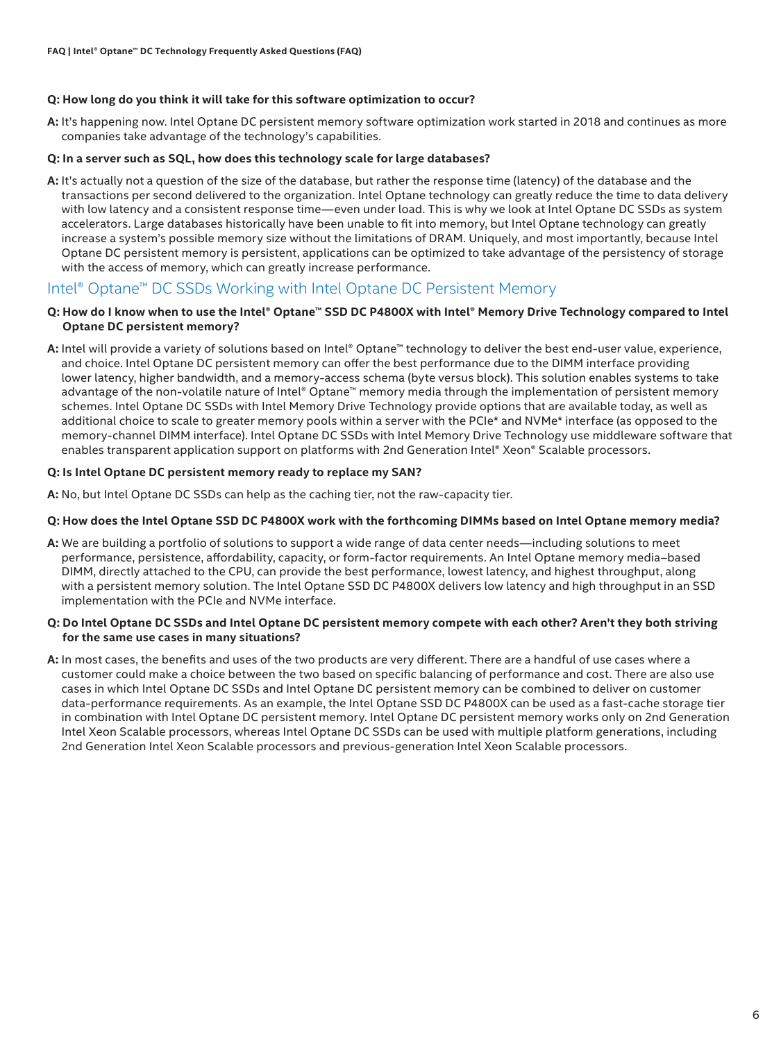#### <span id="page-5-0"></span>**Q: How long do you think it will take for this software optimization to occur?**

**A:** It's happening now. Intel Optane DC persistent memory software optimization work started in 2018 and continues as more companies take advantage of the technology's capabilities.

#### **Q: In a server such as SQL, how does this technology scale for large databases?**

**A:** It's actually not a question of the size of the database, but rather the response time (latency) of the database and the transactions per second delivered to the organization. Intel Optane technology can greatly reduce the time to data delivery with low latency and a consistent response time—even under load. This is why we look at Intel Optane DC SSDs as system accelerators. Large databases historically have been unable to fit into memory, but Intel Optane technology can greatly increase a system's possible memory size without the limitations of DRAM. Uniquely, and most importantly, because Intel Optane DC persistent memory is persistent, applications can be optimized to take advantage of the persistency of storage with the access of memory, which can greatly increase performance.

# Intel® Optane™ DC SSDs Working with Intel Optane DC Persistent Memory

#### **Q: How do I know when to use the Intel® Optane™ SSD DC P4800X with Intel® Memory Drive Technology compared to Intel Optane DC persistent memory?**

**A:** Intel will provide a variety of solutions based on Intel® Optane™ technology to deliver the best end-user value, experience, and choice. Intel Optane DC persistent memory can offer the best performance due to the DIMM interface providing lower latency, higher bandwidth, and a memory-access schema (byte versus block). This solution enables systems to take advantage of the non-volatile nature of Intel® Optane™ memory media through the implementation of persistent memory schemes. Intel Optane DC SSDs with Intel Memory Drive Technology provide options that are available today, as well as additional choice to scale to greater memory pools within a server with the PCIe\* and NVMe\* interface (as opposed to the memory-channel DIMM interface). Intel Optane DC SSDs with Intel Memory Drive Technology use middleware software that enables transparent application support on platforms with 2nd Generation Intel® Xeon® Scalable processors.

#### **Q: Is Intel Optane DC persistent memory ready to replace my SAN?**

**A:** No, but Intel Optane DC SSDs can help as the caching tier, not the raw-capacity tier.

#### **Q: How does the Intel Optane SSD DC P4800X work with the forthcoming DIMMs based on Intel Optane memory media?**

**A:** We are building a portfolio of solutions to support a wide range of data center needs—including solutions to meet performance, persistence, affordability, capacity, or form-factor requirements. An Intel Optane memory media–based DIMM, directly attached to the CPU, can provide the best performance, lowest latency, and highest throughput, along with a persistent memory solution. The Intel Optane SSD DC P4800X delivers low latency and high throughput in an SSD implementation with the PCIe and NVMe interface.

#### **Q: Do Intel Optane DC SSDs and Intel Optane DC persistent memory compete with each other? Aren't they both striving for the same use cases in many situations?**

**A:** In most cases, the benefits and uses of the two products are very different. There are a handful of use cases where a customer could make a choice between the two based on specific balancing of performance and cost. There are also use cases in which Intel Optane DC SSDs and Intel Optane DC persistent memory can be combined to deliver on customer data-performance requirements. As an example, the Intel Optane SSD DC P4800X can be used as a fast-cache storage tier in combination with Intel Optane DC persistent memory. Intel Optane DC persistent memory works only on 2nd Generation Intel Xeon Scalable processors, whereas Intel Optane DC SSDs can be used with multiple platform generations, including 2nd Generation Intel Xeon Scalable processors and previous-generation Intel Xeon Scalable processors.